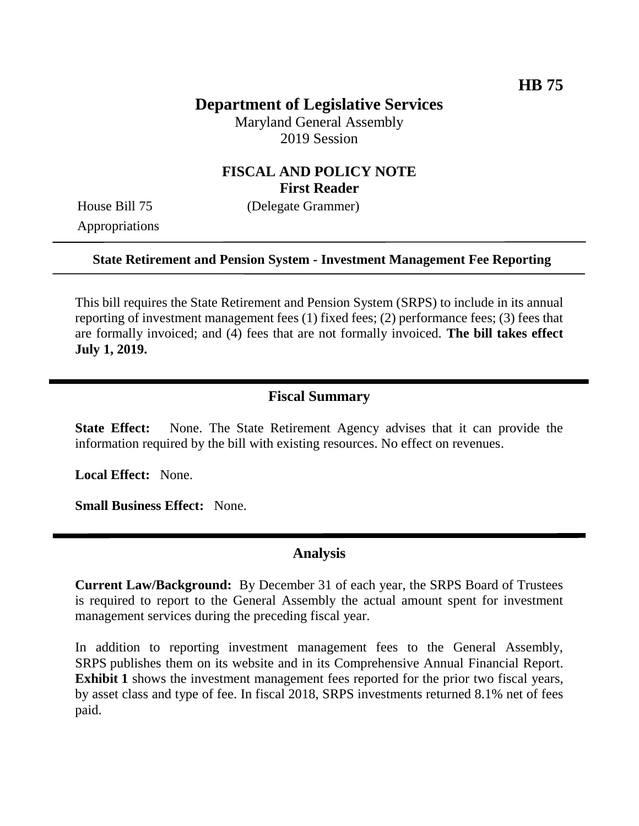# **Department of Legislative Services**

Maryland General Assembly 2019 Session

# **FISCAL AND POLICY NOTE First Reader**

Appropriations

House Bill 75 (Delegate Grammer)

#### **State Retirement and Pension System - Investment Management Fee Reporting**

This bill requires the State Retirement and Pension System (SRPS) to include in its annual reporting of investment management fees (1) fixed fees; (2) performance fees; (3) fees that are formally invoiced; and (4) fees that are not formally invoiced. **The bill takes effect July 1, 2019.** 

#### **Fiscal Summary**

**State Effect:** None. The State Retirement Agency advises that it can provide the information required by the bill with existing resources. No effect on revenues.

**Local Effect:** None.

**Small Business Effect:** None.

# **Analysis**

**Current Law/Background:** By December 31 of each year, the SRPS Board of Trustees is required to report to the General Assembly the actual amount spent for investment management services during the preceding fiscal year.

In addition to reporting investment management fees to the General Assembly, SRPS publishes them on its website and in its Comprehensive Annual Financial Report. **Exhibit 1** shows the investment management fees reported for the prior two fiscal years, by asset class and type of fee. In fiscal 2018, SRPS investments returned 8.1% net of fees paid.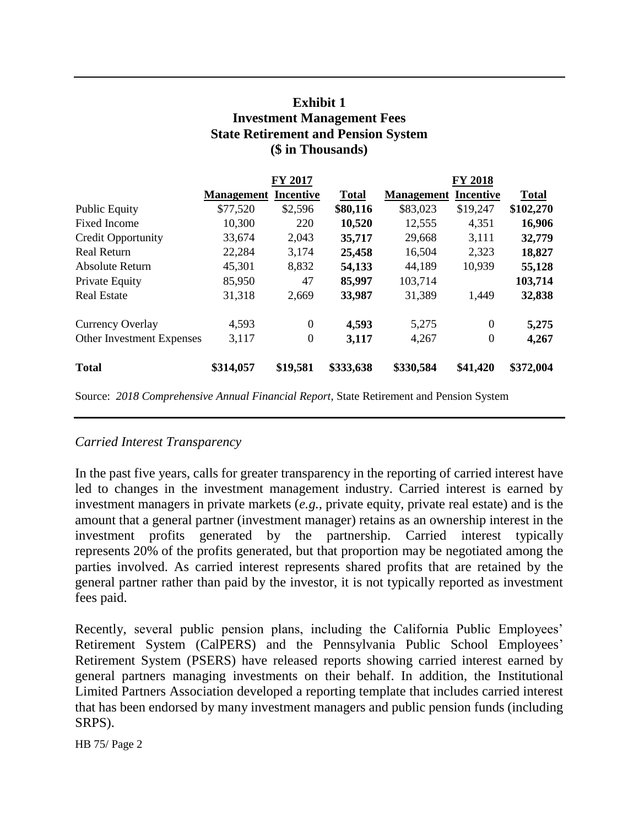# **Exhibit 1 Investment Management Fees State Retirement and Pension System (\$ in Thousands)**

|                           | <b>FY 2017</b>    |                  |              | <b>FY 2018</b>    |                  |              |
|---------------------------|-------------------|------------------|--------------|-------------------|------------------|--------------|
|                           | <b>Management</b> | <b>Incentive</b> | <b>Total</b> | <b>Management</b> | <b>Incentive</b> | <b>Total</b> |
| <b>Public Equity</b>      | \$77,520          | \$2,596          | \$80,116     | \$83,023          | \$19,247         | \$102,270    |
| <b>Fixed Income</b>       | 10,300            | 220              | 10,520       | 12,555            | 4,351            | 16,906       |
| <b>Credit Opportunity</b> | 33,674            | 2,043            | 35,717       | 29,668            | 3,111            | 32,779       |
| <b>Real Return</b>        | 22,284            | 3,174            | 25,458       | 16,504            | 2,323            | 18,827       |
| Absolute Return           | 45,301            | 8,832            | 54,133       | 44,189            | 10,939           | 55,128       |
| Private Equity            | 85,950            | 47               | 85,997       | 103,714           |                  | 103,714      |
| <b>Real Estate</b>        | 31,318            | 2,669            | 33,987       | 31,389            | 1,449            | 32,838       |
| Currency Overlay          | 4,593             | $\Omega$         | 4,593        | 5,275             | $\Omega$         | 5,275        |
| Other Investment Expenses | 3,117             | $\overline{0}$   | 3,117        | 4,267             | $\boldsymbol{0}$ | 4,267        |
| <b>Total</b>              | \$314,057         | \$19,581         | \$333,638    | \$330,584         | \$41,420         | \$372,004    |

Source: *2018 Comprehensive Annual Financial Report*, State Retirement and Pension System

### *Carried Interest Transparency*

In the past five years, calls for greater transparency in the reporting of carried interest have led to changes in the investment management industry. Carried interest is earned by investment managers in private markets (*e.g.,* private equity, private real estate) and is the amount that a general partner (investment manager) retains as an ownership interest in the investment profits generated by the partnership. Carried interest typically represents 20% of the profits generated, but that proportion may be negotiated among the parties involved. As carried interest represents shared profits that are retained by the general partner rather than paid by the investor, it is not typically reported as investment fees paid.

Recently, several public pension plans, including the California Public Employees' Retirement System (CalPERS) and the Pennsylvania Public School Employees' Retirement System (PSERS) have released reports showing carried interest earned by general partners managing investments on their behalf. In addition, the Institutional Limited Partners Association developed a reporting template that includes carried interest that has been endorsed by many investment managers and public pension funds (including SRPS).

HB 75/ Page 2